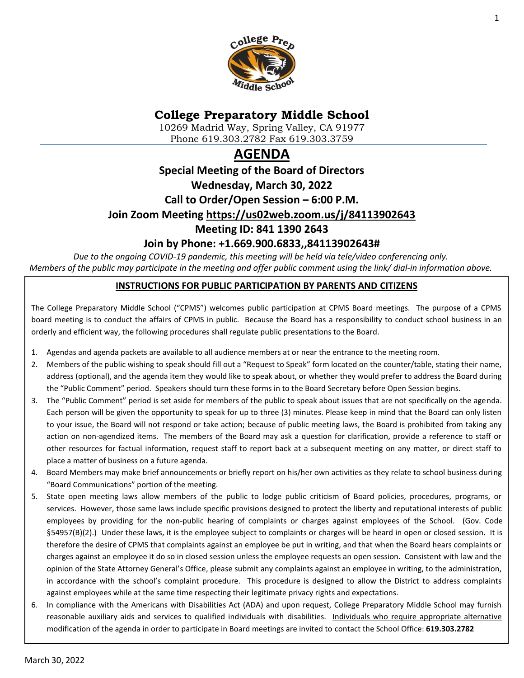

# **College Preparatory Middle School**

10269 Madrid Way, Spring Valley, CA 91977 Phone 619.303.2782 Fax 619.303.3759

# **AGENDA**

# **Special Meeting of the Board of Directors Wednesday, March 30, 2022 Call to Order/Open Session – 6:00 P.M. Join Zoom Meeting<https://us02web.zoom.us/j/84113902643> Meeting ID: 841 1390 2643**

# **Join by Phone: +1.669.900.6833,,84113902643#**

*Due to the ongoing COVID-19 pandemic, this meeting will be held via tele/video conferencing only. Members of the public may participate in the meeting and offer public comment using the link/ dial-in information above.*

### **INSTRUCTIONS FOR PUBLIC PARTICIPATION BY PARENTS AND CITIZENS**

The College Preparatory Middle School ("CPMS") welcomes public participation at CPMS Board meetings. The purpose of a CPMS board meeting is to conduct the affairs of CPMS in public. Because the Board has a responsibility to conduct school business in an orderly and efficient way, the following procedures shall regulate public presentations to the Board.

- 1. Agendas and agenda packets are available to all audience members at or near the entrance to the meeting room.
- 2. Members of the public wishing to speak should fill out a "Request to Speak" form located on the counter/table, stating their name, address (optional), and the agenda item they would like to speak about, or whether they would prefer to address the Board during the "Public Comment" period. Speakers should turn these forms in to the Board Secretary before Open Session begins.
- 3. The "Public Comment" period is set aside for members of the public to speak about issues that are not specifically on the agenda. Each person will be given the opportunity to speak for up to three (3) minutes. Please keep in mind that the Board can only listen to your issue, the Board will not respond or take action; because of public meeting laws, the Board is prohibited from taking any action on non-agendized items. The members of the Board may ask a question for clarification, provide a reference to staff or other resources for factual information, request staff to report back at a subsequent meeting on any matter, or direct staff to place a matter of business on a future agenda.
- 4. Board Members may make brief announcements or briefly report on his/her own activities as they relate to school business during "Board Communications" portion of the meeting.
- 5. State open meeting laws allow members of the public to lodge public criticism of Board policies, procedures, programs, or services. However, those same laws include specific provisions designed to protect the liberty and reputational interests of public employees by providing for the non-public hearing of complaints or charges against employees of the School. (Gov. Code §54957(B)(2).) Under these laws, it is the employee subject to complaints or charges will be heard in open or closed session. It is therefore the desire of CPMS that complaints against an employee be put in writing, and that when the Board hears complaints or charges against an employee it do so in closed session unless the employee requests an open session. Consistent with law and the opinion of the State Attorney General's Office, please submit any complaints against an employee in writing, to the administration, in accordance with the school's complaint procedure. This procedure is designed to allow the District to address complaints against employees while at the same time respecting their legitimate privacy rights and expectations.
- 6. In compliance with the Americans with Disabilities Act (ADA) and upon request, College Preparatory Middle School may furnish reasonable auxiliary aids and services to qualified individuals with disabilities. Individuals who require appropriate alternative modification of the agenda in order to participate in Board meetings are invited to contact the School Office: **619.303.2782**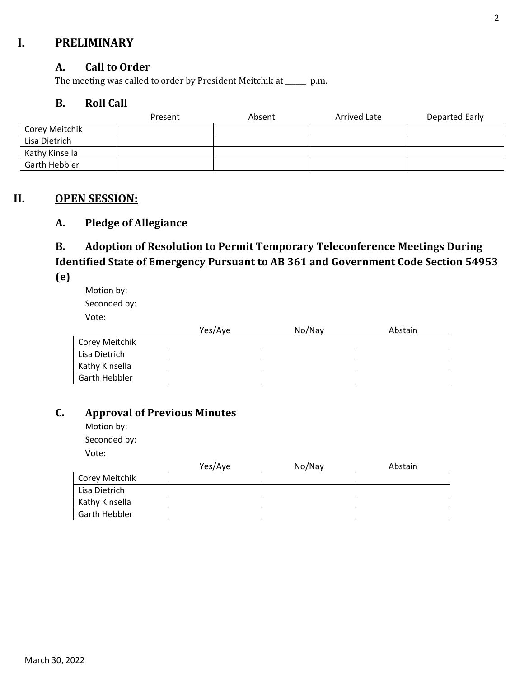# **I. PRELIMINARY**

### **A. Call to Order**

The meeting was called to order by President Meitchik at \_\_\_\_\_\_ p.m.

### **B. Roll Call**

|                | Present | Absent | Arrived Late | Departed Early |
|----------------|---------|--------|--------------|----------------|
| Corey Meitchik |         |        |              |                |
| Lisa Dietrich  |         |        |              |                |
| Kathy Kinsella |         |        |              |                |
| Garth Hebbler  |         |        |              |                |

### **II. OPEN SESSION:**

### **A. Pledge of Allegiance**

# **B. Adoption of Resolution to Permit Temporary Teleconference Meetings During Identified State of Emergency Pursuant to AB 361 and Government Code Section 54953**

**(e)**

Motion by: Seconded by: Vote:

|                | Yes/Aye | No/Nay | Abstain |
|----------------|---------|--------|---------|
| Corey Meitchik |         |        |         |
| Lisa Dietrich  |         |        |         |
| Kathy Kinsella |         |        |         |
| Garth Hebbler  |         |        |         |

### **C. Approval of Previous Minutes**

Motion by: Seconded by: Vote:

|                | Yes/Aye | No/Nay | Abstain |
|----------------|---------|--------|---------|
| Corey Meitchik |         |        |         |
| Lisa Dietrich  |         |        |         |
| Kathy Kinsella |         |        |         |
| Garth Hebbler  |         |        |         |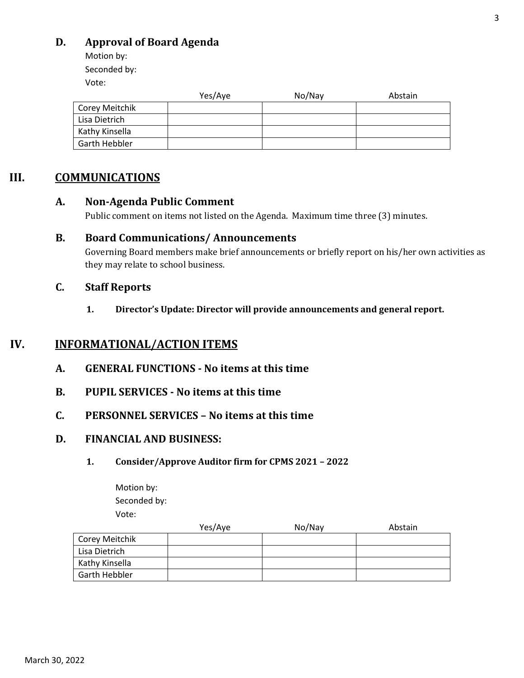# **D. Approval of Board Agenda**

Motion by: Seconded by:

Vote:

|                | Yes/Aye | No/Nay | Abstain |
|----------------|---------|--------|---------|
| Corey Meitchik |         |        |         |
| Lisa Dietrich  |         |        |         |
| Kathy Kinsella |         |        |         |
| Garth Hebbler  |         |        |         |

### **III. COMMUNICATIONS**

### **A. Non-Agenda Public Comment**

Public comment on items not listed on the Agenda. Maximum time three (3) minutes.

### **B. Board Communications/ Announcements**

Governing Board members make brief announcements or briefly report on his/her own activities as they may relate to school business.

### **C. Staff Reports**

**1. Director's Update: Director will provide announcements and general report.** 

# **IV. INFORMATIONAL/ACTION ITEMS**

- **A. GENERAL FUNCTIONS - No items at this time**
- **B. PUPIL SERVICES - No items at this time**
- **C. PERSONNEL SERVICES – No items at this time**

### **D. FINANCIAL AND BUSINESS:**

#### **1. Consider/Approve Auditor firm for CPMS 2021 – 2022**

Motion by: Seconded by: Vote:

|                | Yes/Aye | No/Nay | Abstain |
|----------------|---------|--------|---------|
| Corey Meitchik |         |        |         |
| Lisa Dietrich  |         |        |         |
| Kathy Kinsella |         |        |         |
| Garth Hebbler  |         |        |         |